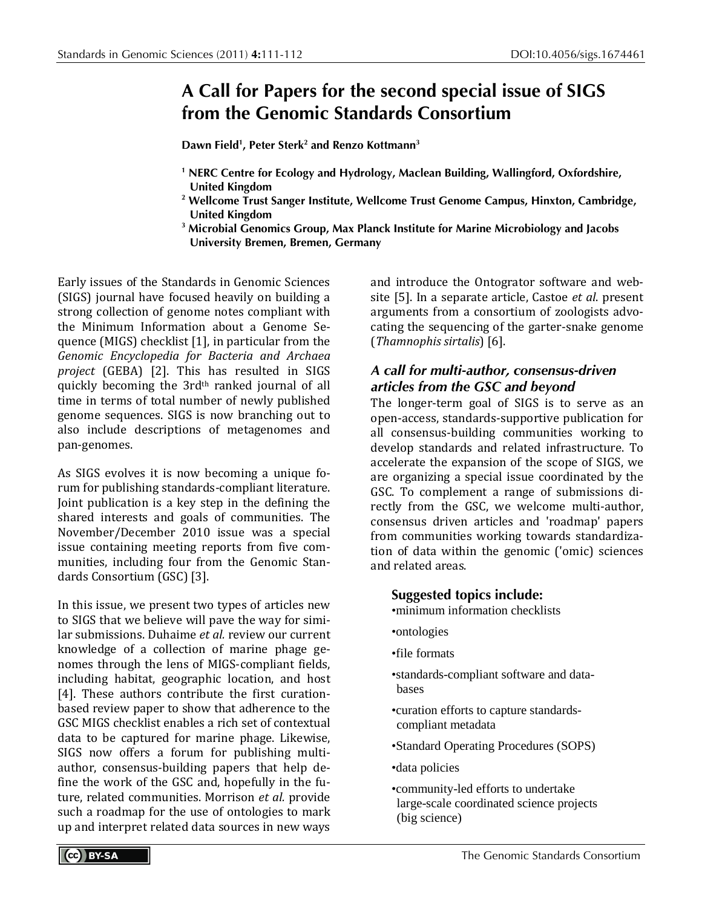## **A Call for Papers for the second special issue of SIGS from the Genomic Standards Consortium**

**Dawn Field1 , Peter Sterk2 and Renzo Kottmann3**

- **<sup>1</sup> NERC Centre for Ecology and Hydrology, Maclean Building, Wallingford, Oxfordshire, United Kingdom**
- **<sup>2</sup> Wellcome Trust Sanger Institute, Wellcome Trust Genome Campus, Hinxton, Cambridge, United Kingdom**
- **<sup>3</sup> Microbial Genomics Group, Max Planck Institute for Marine Microbiology and Jacobs University Bremen, Bremen, Germany**

Early issues of the Standards in Genomic Sciences (SIGS) journal have focused heavily on building a strong collection of genome notes compliant with the Minimum Information about a Genome Sequence (MIGS) checklist [1], in particular from the *Genomic Encyclopedia for Bacteria and Archaea project* (GEBA) [2]. This has resulted in SIGS quickly becoming the 3rd<sup>th</sup> ranked journal of all time in terms of total number of newly published genome sequences. SIGS is now branching out to also include descriptions of metagenomes and pan-genomes.

As SIGS evolves it is now becoming a unique forum for publishing standards-compliant literature. Joint publication is a key step in the defining the shared interests and goals of communities. The November/December 2010 issue was a special issue containing meeting reports from five communities, including four from the Genomic Standards Consortium (GSC) [3].

In this issue, we present two types of articles new to SIGS that we believe will pave the way for similar submissions. Duhaime *et al.* review our current knowledge of a collection of marine phage genomes through the lens of MIGS-compliant fields, including habitat, geographic location, and host [4]. These authors contribute the first curationbased review paper to show that adherence to the GSC MIGS checklist enables a rich set of contextual data to be captured for marine phage. Likewise, SIGS now offers a forum for publishing multiauthor, consensus-building papers that help define the work of the GSC and, hopefully in the future, related communities. Morrison *et al.* provide such a roadmap for the use of ontologies to mark up and interpret related data sources in new ways and introduce the Ontogrator software and website [5]. In a separate article, Castoe *et al*. present arguments from a consortium of zoologists advocating the sequencing of the garter-snake genome (*Thamnophis sirtalis*) [6].

## *A call for multi-author, consensus-driven articles from the GSC and beyond*

The longer-term goal of SIGS is to serve as an open-access, standards-supportive publication for all consensus-building communities working to develop standards and related infrastructure. To accelerate the expansion of the scope of SIGS, we are organizing a special issue coordinated by the GSC. To complement a range of submissions directly from the GSC, we welcome multi-author, consensus driven articles and 'roadmap' papers from communities working towards standardization of data within the genomic ('omic) sciences and related areas.

- **Suggested topics include:**
- •minimum information checklists
- •ontologies
- •file formats
- •standards-compliant software and databases
- •curation efforts to capture standardscompliant metadata
- •Standard Operating Procedures (SOPS)
- •data policies
- •community-led efforts to undertake large-scale coordinated science projects (big science)